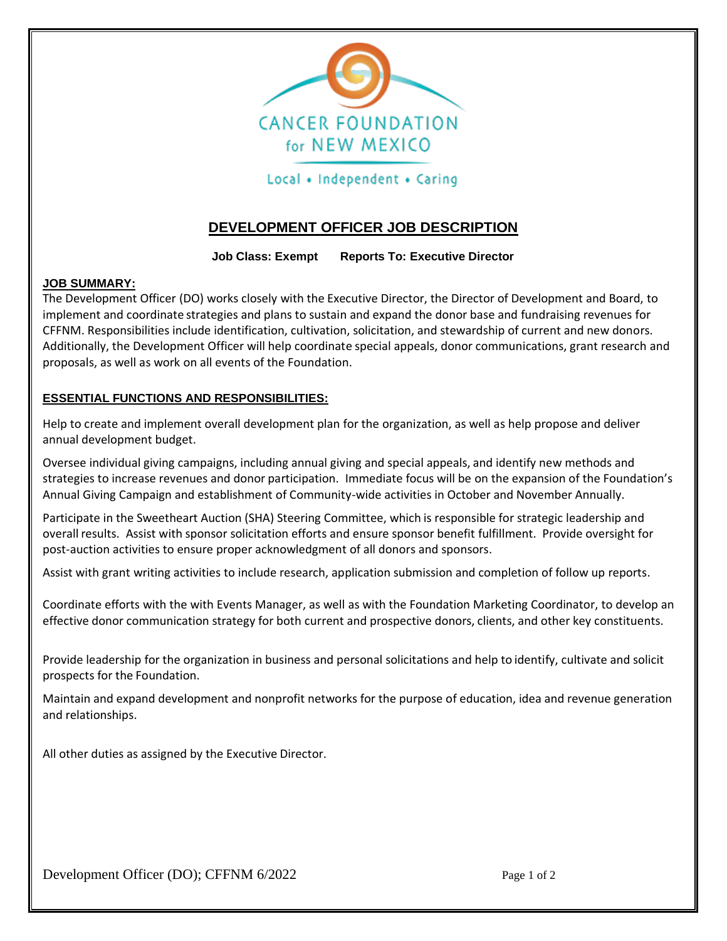

## Local • Independent • Caring

# **DEVELOPMENT OFFICER JOB DESCRIPTION**

**Job Class: Exempt Reports To: Executive Director**

#### **JOB SUMMARY:**

The Development Officer (DO) works closely with the Executive Director, the Director of Development and Board, to implement and coordinate strategies and plans to sustain and expand the donor base and fundraising revenues for CFFNM. Responsibilities include identification, cultivation, solicitation, and stewardship of current and new donors. Additionally, the Development Officer will help coordinate special appeals, donor communications, grant research and proposals, as well as work on all events of the Foundation.

### **ESSENTIAL FUNCTIONS AND RESPONSIBILITIES:**

Help to create and implement overall development plan for the organization, as well as help propose and deliver annual development budget.

Oversee individual giving campaigns, including annual giving and special appeals, and identify new methods and strategies to increase revenues and donor participation. Immediate focus will be on the expansion of the Foundation's Annual Giving Campaign and establishment of Community-wide activities in October and November Annually.

Participate in the Sweetheart Auction (SHA) Steering Committee, which is responsible for strategic leadership and overall results. Assist with sponsor solicitation efforts and ensure sponsor benefit fulfillment. Provide oversight for post-auction activities to ensure proper acknowledgment of all donors and sponsors.

Assist with grant writing activities to include research, application submission and completion of follow up reports.

Coordinate efforts with the with Events Manager, as well as with the Foundation Marketing Coordinator, to develop an effective donor communication strategy for both current and prospective donors, clients, and other key constituents.

Provide leadership for the organization in business and personal solicitations and help to identify, cultivate and solicit prospects for the Foundation.

Maintain and expand development and nonprofit networks for the purpose of education, idea and revenue generation and relationships.

All other duties as assigned by the Executive Director.

Development Officer (DO); CFFNM 6/2022 Page 1 of 2